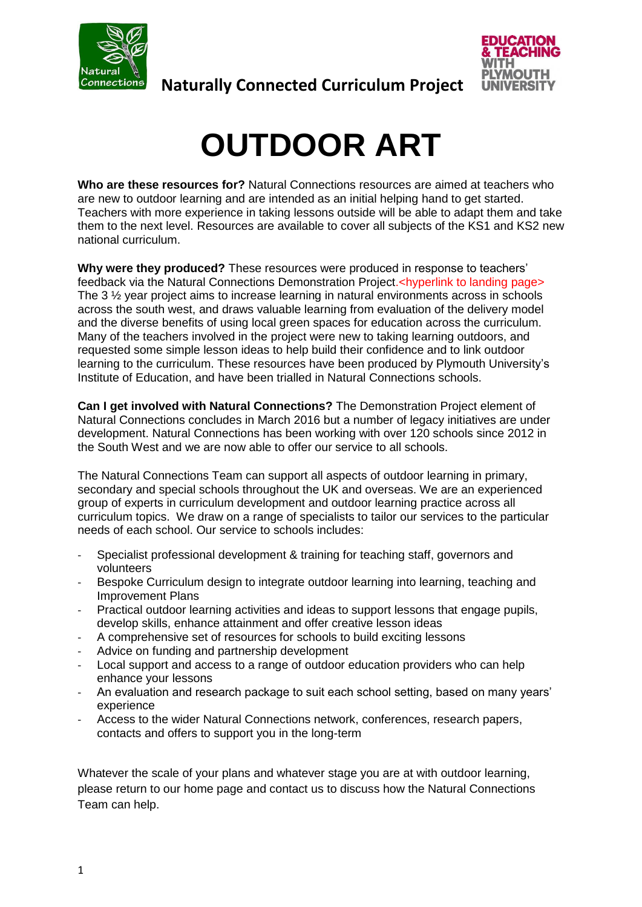



# **OUTDOOR ART**

**Who are these resources for?** Natural Connections resources are aimed at teachers who are new to outdoor learning and are intended as an initial helping hand to get started. Teachers with more experience in taking lessons outside will be able to adapt them and take them to the next level. Resources are available to cover all subjects of the KS1 and KS2 new national curriculum.

**Why were they produced?** These resources were produced in response to teachers' feedback via the Natural Connections Demonstration Project.<hyperlink to landing page> The 3 ½ year project aims to increase learning in natural environments across in schools across the south west, and draws valuable learning from evaluation of the delivery model and the diverse benefits of using local green spaces for education across the curriculum. Many of the teachers involved in the project were new to taking learning outdoors, and requested some simple lesson ideas to help build their confidence and to link outdoor learning to the curriculum. These resources have been produced by Plymouth University's Institute of Education, and have been trialled in Natural Connections schools.

**Can I get involved with Natural Connections?** The Demonstration Project element of Natural Connections concludes in March 2016 but a number of legacy initiatives are under development. Natural Connections has been working with over 120 schools since 2012 in the South West and we are now able to offer our service to all schools.

The Natural Connections Team can support all aspects of outdoor learning in primary, secondary and special schools throughout the UK and overseas. We are an experienced group of experts in curriculum development and outdoor learning practice across all curriculum topics. We draw on a range of specialists to tailor our services to the particular needs of each school. Our service to schools includes:

- Specialist professional development & training for teaching staff, governors and volunteers
- Bespoke Curriculum design to integrate outdoor learning into learning, teaching and Improvement Plans
- Practical outdoor learning activities and ideas to support lessons that engage pupils, develop skills, enhance attainment and offer creative lesson ideas
- A comprehensive set of resources for schools to build exciting lessons
- Advice on funding and partnership development
- Local support and access to a range of outdoor education providers who can help enhance your lessons
- An evaluation and research package to suit each school setting, based on many years' experience
- Access to the wider Natural Connections network, conferences, research papers, contacts and offers to support you in the long-term

Whatever the scale of your plans and whatever stage you are at with outdoor learning, please return to our home page and contact us to discuss how the Natural Connections Team can help.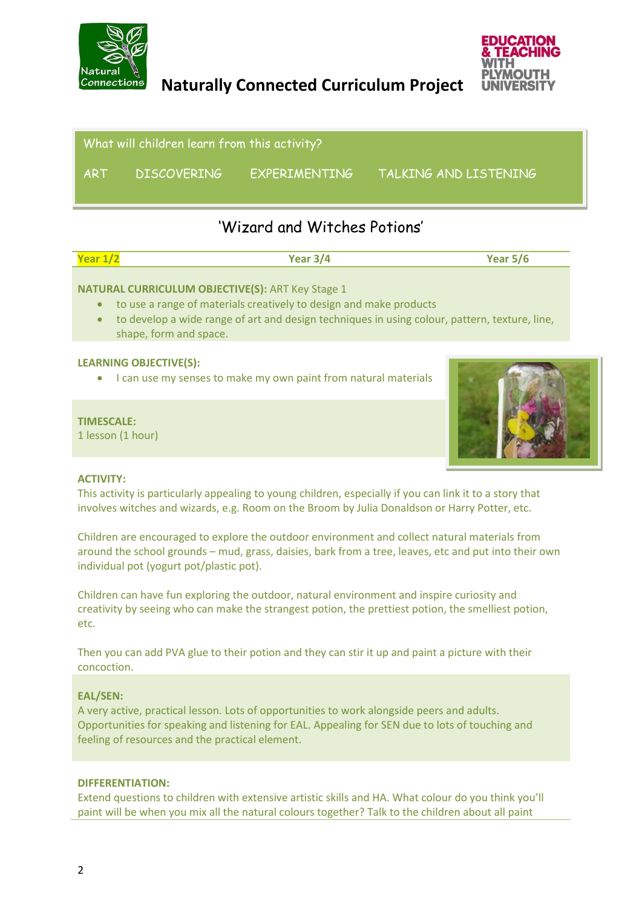



i What will children learn from this activity? ART DISCOVERING EXPERIMENTING TALKING AND LISTENING

# 'Wizard and Witches Potions'

| Year 1/ | Year 3/4 | Year $5/6$ |
|---------|----------|------------|
|         |          |            |

#### **NATURAL CURRICULUM OBJECTIVE(S):** ART Key Stage 1

- to use a range of materials creatively to design and make products
- to develop a wide range of art and design techniques in using colour, pattern, texture, line, shape, form and space.

#### **LEARNING OBJECTIVE(S):**

• I can use my senses to make my own paint from natural materials

#### **TIMESCALE:**

1 lesson (1 hour)



#### **ACTIVITY:**

This activity is particularly appealing to young children, especially if you can link it to a story that involves witches and wizards, e.g. Room on the Broom by Julia Donaldson or Harry Potter, etc.

Children are encouraged to explore the outdoor environment and collect natural materials from around the school grounds – mud, grass, daisies, bark from a tree, leaves, etc and put into their own individual pot (yogurt pot/plastic pot).

Children can have fun exploring the outdoor, natural environment and inspire curiosity and creativity by seeing who can make the strangest potion, the prettiest potion, the smelliest potion, etc.

Then you can add PVA glue to their potion and they can stir it up and paint a picture with their concoction.

#### **EAL/SEN:**

A very active, practical lesson. Lots of opportunities to work alongside peers and adults. Opportunities for speaking and listening for EAL. Appealing for SEN due to lots of touching and feeling of resources and the practical element.

#### **DIFFERENTIATION:**

Extend questions to children with extensive artistic skills and HA. What colour do you think you'll paint will be when you mix all the natural colours together? Talk to the children about all paint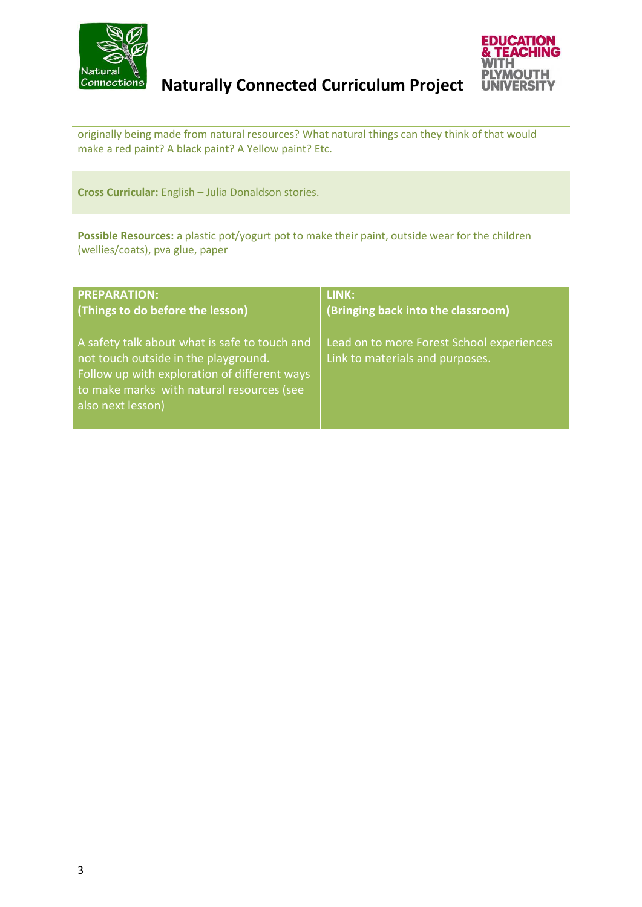



originally being made from natural resources? What natural things can they think of that would make a red paint? A black paint? A Yellow paint? Etc.

**Cross Curricular:** English – Julia Donaldson stories.

**Possible Resources:** a plastic pot/yogurt pot to make their paint, outside wear for the children (wellies/coats), pva glue, paper

| <b>PREPARATION:</b>                                                                                                                                                                                     | LINK:                                                                        |
|---------------------------------------------------------------------------------------------------------------------------------------------------------------------------------------------------------|------------------------------------------------------------------------------|
| (Things to do before the lesson)                                                                                                                                                                        | (Bringing back into the classroom)                                           |
| A safety talk about what is safe to touch and<br>not touch outside in the playground.<br>Follow up with exploration of different ways<br>to make marks with natural resources (see<br>also next lesson) | Lead on to more Forest School experiences<br>Link to materials and purposes. |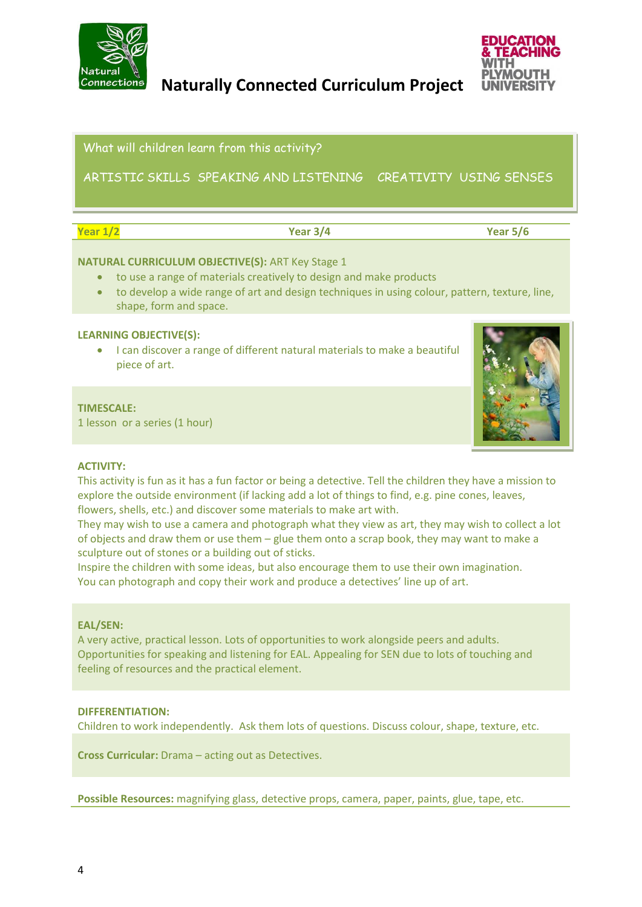



What will children learn from this activity?

Subject: **Art** ARTISTIC SKILLS SPEAKING AND LISTENING CREATIVITY USING SENSES

'Art Detectives' (1990)<br>'Art Detectives' (1990)

| . .<br>and the control |
|------------------------|
|------------------------|

**Year 1/2 Year 3/4 Year 5/6**

#### **NATURAL CURRICULUM OBJECTIVE(S):** ART Key Stage 1

- to use a range of materials creatively to design and make products
- to develop a wide range of art and design techniques in using colour, pattern, texture, line, shape, form and space.

#### **LEARNING OBJECTIVE(S):**

 I can discover a range of different natural materials to make a beautiful piece of art.

#### **TIMESCALE:**

1 lesson or a series (1 hour)



#### **ACTIVITY:**

This activity is fun as it has a fun factor or being a detective. Tell the children they have a mission to explore the outside environment (if lacking add a lot of things to find, e.g. pine cones, leaves, flowers, shells, etc.) and discover some materials to make art with.

They may wish to use a camera and photograph what they view as art, they may wish to collect a lot of objects and draw them or use them – glue them onto a scrap book, they may want to make a sculpture out of stones or a building out of sticks.

Inspire the children with some ideas, but also encourage them to use their own imagination. You can photograph and copy their work and produce a detectives' line up of art.

#### **EAL/SEN:**

A very active, practical lesson. Lots of opportunities to work alongside peers and adults. Opportunities for speaking and listening for EAL. Appealing for SEN due to lots of touching and feeling of resources and the practical element.

#### **DIFFERENTIATION:**

Children to work independently. Ask them lots of questions. Discuss colour, shape, texture, etc.

**Cross Curricular:** Drama – acting out as Detectives.

**Possible Resources:** magnifying glass, detective props, camera, paper, paints, glue, tape, etc.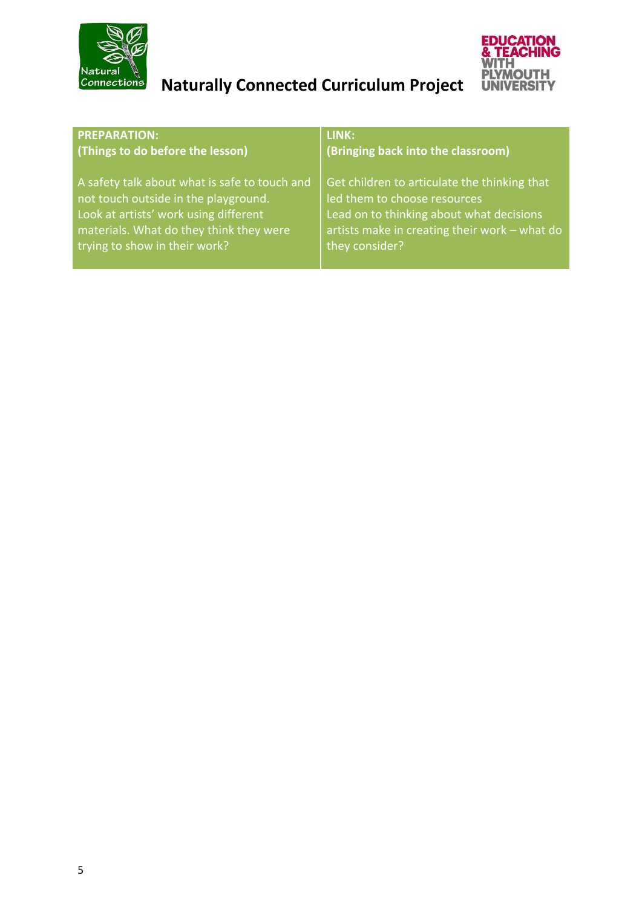



| <b>PREPARATION:</b>                           | LINK:                                         |
|-----------------------------------------------|-----------------------------------------------|
| (Things to do before the lesson)              | (Bringing back into the classroom)            |
| A safety talk about what is safe to touch and | Get children to articulate the thinking that  |
| not touch outside in the playground.          | led them to choose resources                  |
| Look at artists' work using different         | Lead on to thinking about what decisions      |
| materials. What do they think they were       | artists make in creating their work - what do |
| trying to show in their work?                 | they consider?                                |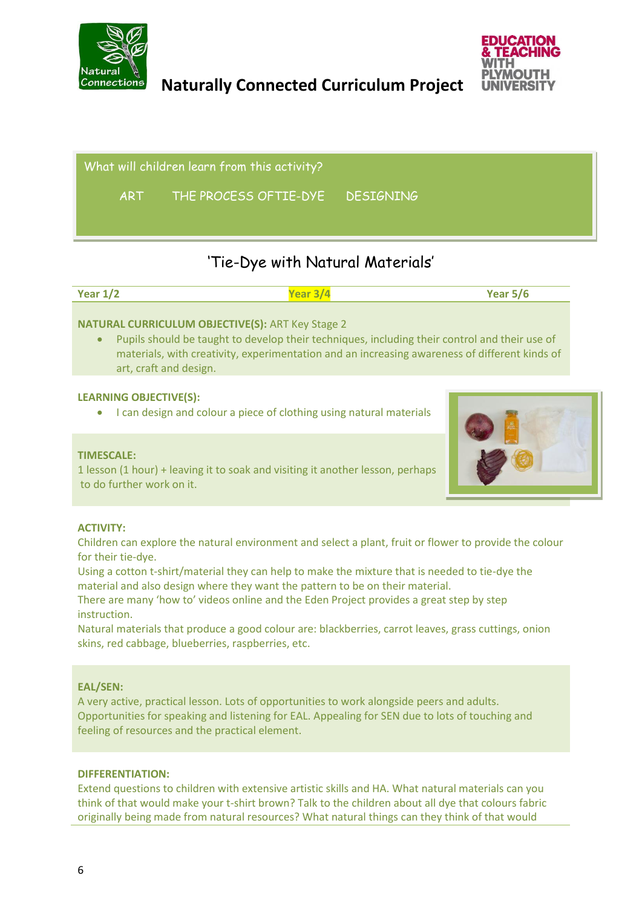



What will children learn from this activity?

ART THE PROCESS OFTIE-DYE DESIGNING

# 'Tie-Dye with Natural Materials'

| Year $1/2$ | $\sqrt{a}$ ar $\frac{1}{2}$ | Year $5/6$ |
|------------|-----------------------------|------------|
|            |                             |            |

#### **NATURAL CURRICULUM OBJECTIVE(S):** ART Key Stage 2

 Pupils should be taught to develop their techniques, including their control and their use of materials, with creativity, experimentation and an increasing awareness of different kinds of art, craft and design.

#### **LEARNING OBJECTIVE(S):**

• I can design and colour a piece of clothing using natural materials

#### **TIMESCALE:**

1 lesson (1 hour) + leaving it to soak and visiting it another lesson, perhaps to do further work on it.



#### **ACTIVITY:**

Children can explore the natural environment and select a plant, fruit or flower to provide the colour for their tie-dye.

Using a cotton t-shirt/material they can help to make the mixture that is needed to tie-dye the material and also design where they want the pattern to be on their material.

There are many 'how to' videos online and the Eden Project provides a great step by step instruction.

Natural materials that produce a good colour are: blackberries, carrot leaves, grass cuttings, onion skins, red cabbage, blueberries, raspberries, etc.

#### **EAL/SEN:**

A very active, practical lesson. Lots of opportunities to work alongside peers and adults. Opportunities for speaking and listening for EAL. Appealing for SEN due to lots of touching and feeling of resources and the practical element.

#### **DIFFERENTIATION:**

Extend questions to children with extensive artistic skills and HA. What natural materials can you think of that would make your t-shirt brown? Talk to the children about all dye that colours fabric originally being made from natural resources? What natural things can they think of that would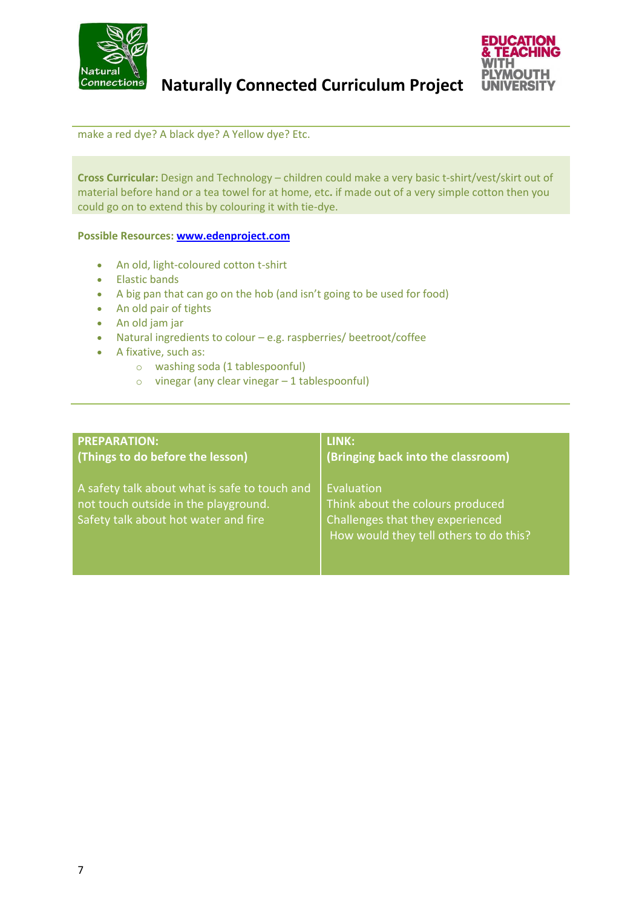



make a red dye? A black dye? A Yellow dye? Etc.

**Cross Curricular:** Design and Technology – children could make a very basic t-shirt/vest/skirt out of material before hand or a tea towel for at home, etc**.** if made out of a very simple cotton then you could go on to extend this by colouring it with tie-dye.

#### **Possible Resources: [www.edenproject.com](http://www.edenproject.com/)**

- An old, light-coloured cotton t-shirt
- **•** Elastic bands
- A big pan that can go on the hob (and isn't going to be used for food)
- An old pair of tights
- An old jam jar
- Natural ingredients to colour e.g. raspberries/ beetroot/coffee
- A fixative, such as:
	- o washing soda (1 tablespoonful)
	- $\circ$  vinegar (any clear vinegar  $-1$  tablespoonful)

| <b>PREPARATION:</b>                                                                                                           | LINK:                                                                                                                        |
|-------------------------------------------------------------------------------------------------------------------------------|------------------------------------------------------------------------------------------------------------------------------|
| (Things to do before the lesson)                                                                                              | (Bringing back into the classroom)                                                                                           |
| A safety talk about what is safe to touch and<br>not touch outside in the playground.<br>Safety talk about hot water and fire | Evaluation<br>Think about the colours produced<br>Challenges that they experienced<br>How would they tell others to do this? |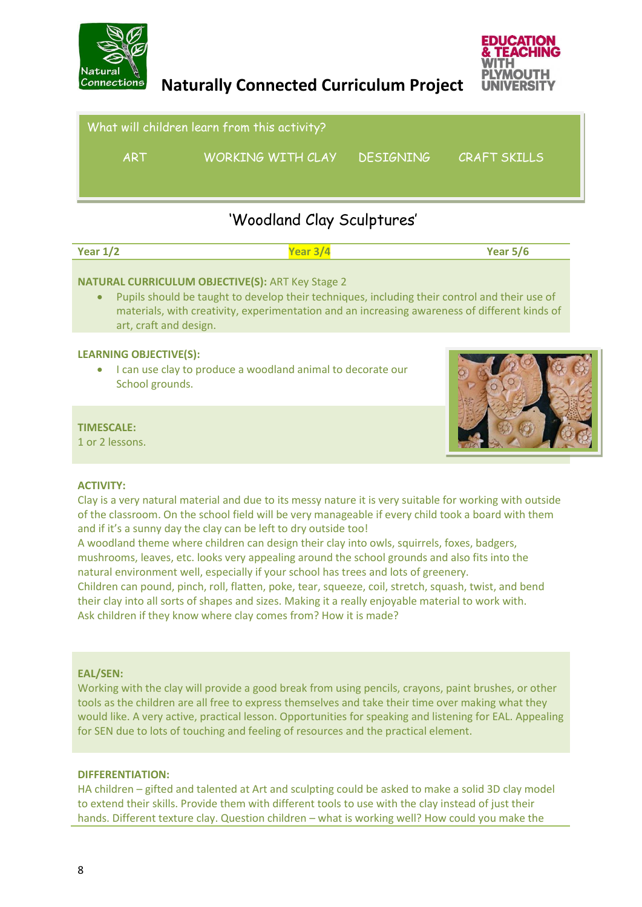



What will children learn from this activity? ART WORKING WITH CLAY DESIGNING CRAFT SKILLS

## 'Woodland Clay Sculptures'

| Year $1/2$ | Year 3/4 | Year $5/6$ |
|------------|----------|------------|
|            |          |            |

#### **NATURAL CURRICULUM OBJECTIVE(S):** ART Key Stage 2

 Pupils should be taught to develop their techniques, including their control and their use of materials, with creativity, experimentation and an increasing awareness of different kinds of art, craft and design.

#### **LEARNING OBJECTIVE(S):**

 I can use clay to produce a woodland animal to decorate our School grounds.

#### **TIMESCALE:**

1 or 2 lessons.



#### **ACTIVITY:**

Clay is a very natural material and due to its messy nature it is very suitable for working with outside of the classroom. On the school field will be very manageable if every child took a board with them and if it's a sunny day the clay can be left to dry outside too!

A woodland theme where children can design their clay into owls, squirrels, foxes, badgers, mushrooms, leaves, etc. looks very appealing around the school grounds and also fits into the natural environment well, especially if your school has trees and lots of greenery.

Children can pound, pinch, roll, flatten, poke, tear, squeeze, coil, stretch, squash, twist, and bend their clay into all sorts of shapes and sizes. Making it a really enjoyable material to work with. Ask children if they know where clay comes from? How it is made?

#### **EAL/SEN:**

Working with the clay will provide a good break from using pencils, crayons, paint brushes, or other tools as the children are all free to express themselves and take their time over making what they would like. A very active, practical lesson. Opportunities for speaking and listening for EAL. Appealing for SEN due to lots of touching and feeling of resources and the practical element.

#### **DIFFERENTIATION:**

HA children – gifted and talented at Art and sculpting could be asked to make a solid 3D clay model to extend their skills. Provide them with different tools to use with the clay instead of just their hands. Different texture clay. Question children – what is working well? How could you make the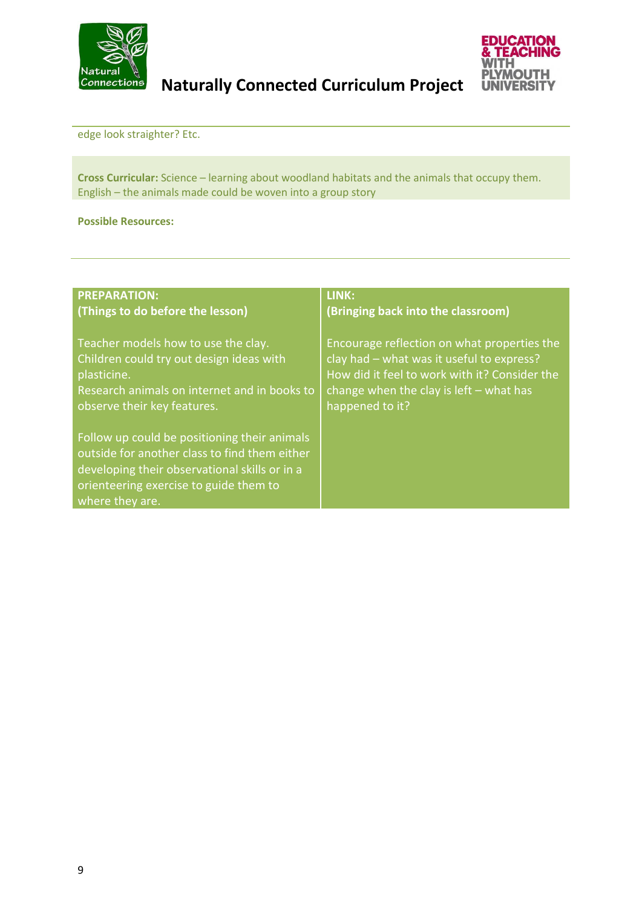



edge look straighter? Etc.

**Cross Curricular:** Science – learning about woodland habitats and the animals that occupy them. English – the animals made could be woven into a group story

#### **Possible Resources:**

| <b>PREPARATION:</b>                                                                                                                                                                                         | LINK:                                         |
|-------------------------------------------------------------------------------------------------------------------------------------------------------------------------------------------------------------|-----------------------------------------------|
| (Things to do before the lesson)                                                                                                                                                                            | (Bringing back into the classroom)            |
| Teacher models how to use the clay.                                                                                                                                                                         | Encourage reflection on what properties the   |
| Children could try out design ideas with                                                                                                                                                                    | clay had - what was it useful to express?     |
| plasticine.                                                                                                                                                                                                 | How did it feel to work with it? Consider the |
| Research animals on internet and in books to                                                                                                                                                                | change when the clay is $left$ – what has     |
| observe their key features.                                                                                                                                                                                 | happened to it?                               |
| Follow up could be positioning their animals<br>outside for another class to find them either<br>developing their observational skills or in a<br>orienteering exercise to guide them to<br>where they are. |                                               |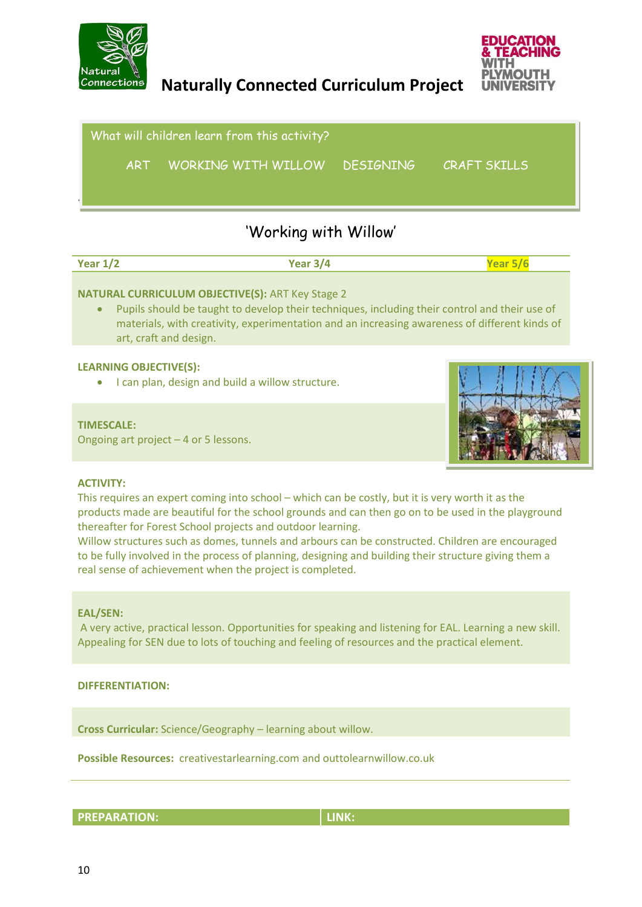



Subject: **Art** What will children learn from this activity? ART WORKING WITH WILLOW DESIGNING CRAFT SKILLS

## 'Working with Willow'

| Year $1/2$ | Year 3/4 | Year $5/6$ |
|------------|----------|------------|
|            |          |            |

#### **NATURAL CURRICULUM OBJECTIVE(S):** ART Key Stage 2

 Pupils should be taught to develop their techniques, including their control and their use of materials, with creativity, experimentation and an increasing awareness of different kinds of art, craft and design.

#### **LEARNING OBJECTIVE(S):**

• I can plan, design and build a willow structure.

#### **TIMESCALE:**

Ongoing art project – 4 or 5 lessons.



#### **ACTIVITY:**

This requires an expert coming into school – which can be costly, but it is very worth it as the products made are beautiful for the school grounds and can then go on to be used in the playground thereafter for Forest School projects and outdoor learning.

Willow structures such as domes, tunnels and arbours can be constructed. Children are encouraged to be fully involved in the process of planning, designing and building their structure giving them a real sense of achievement when the project is completed.

#### **EAL/SEN:**

A very active, practical lesson. Opportunities for speaking and listening for EAL. Learning a new skill. Appealing for SEN due to lots of touching and feeling of resources and the practical element.

#### **DIFFERENTIATION:**

**Cross Curricular:** Science/Geography – learning about willow.

**Possible Resources:** creativestarlearning.com and outtolearnwillow.co.uk

**PREPARATION:** LINK: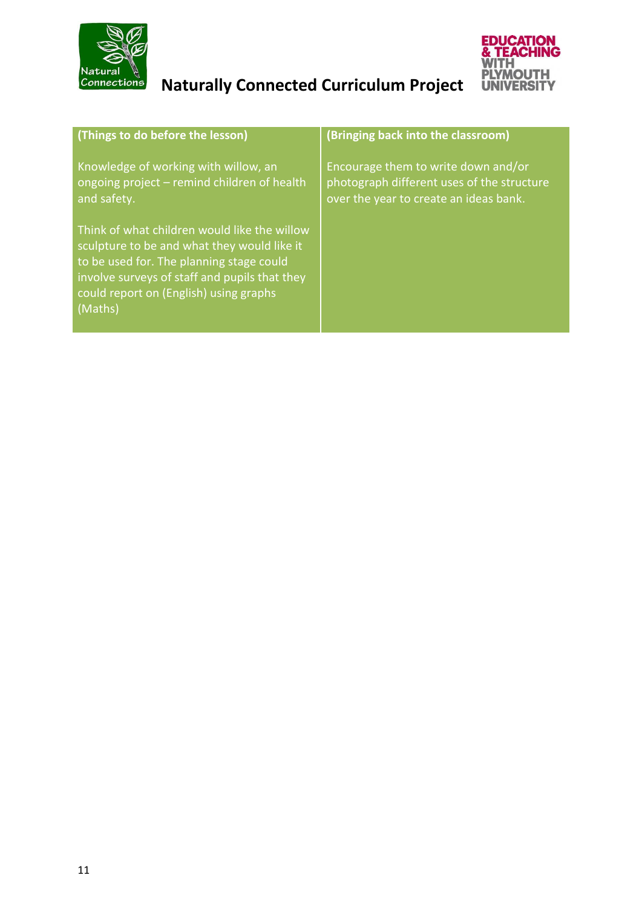



| (Things to do before the lesson)                                                                                                                                                                                                              | (Bringing back into the classroom)                                                                                          |
|-----------------------------------------------------------------------------------------------------------------------------------------------------------------------------------------------------------------------------------------------|-----------------------------------------------------------------------------------------------------------------------------|
| Knowledge of working with willow, an<br>ongoing project - remind children of health<br>and safety.                                                                                                                                            | Encourage them to write down and/or<br>photograph different uses of the structure<br>over the year to create an ideas bank. |
| Think of what children would like the willow<br>sculpture to be and what they would like it<br>to be used for. The planning stage could<br>involve surveys of staff and pupils that they<br>could report on (English) using graphs<br>(Maths) |                                                                                                                             |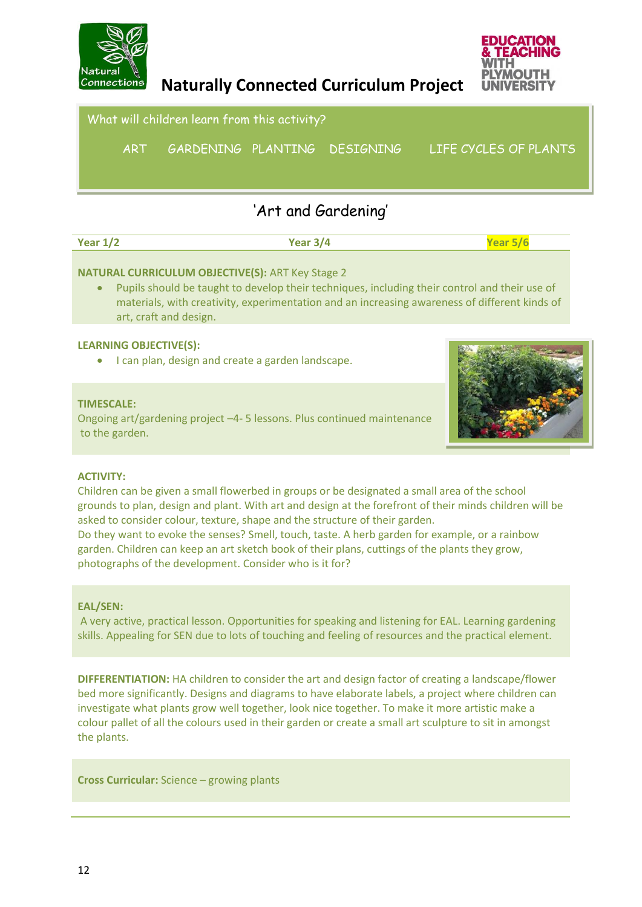

Subject: **Art**

 **Naturally Connected Curriculum Project** 



### What will children learn from this activity?

ART GARDENING PLANTING DESIGNING LIFE CYCLES OF PLANTS

# 'Art and Gardening'

| Year $1/2$ | $\mathbf{v}$ . $\mathbf{v}$ .<br>≺ 14 |  |
|------------|---------------------------------------|--|
|            |                                       |  |

#### **NATURAL CURRICULUM OBJECTIVE(S):** ART Key Stage 2

 Pupils should be taught to develop their techniques, including their control and their use of materials, with creativity, experimentation and an increasing awareness of different kinds of art, craft and design.

#### **LEARNING OBJECTIVE(S):**

I can plan, design and create a garden landscape.

#### **TIMESCALE:**

Ongoing art/gardening project –4- 5 lessons. Plus continued maintenance to the garden.



#### **ACTIVITY:**

Children can be given a small flowerbed in groups or be designated a small area of the school grounds to plan, design and plant. With art and design at the forefront of their minds children will be asked to consider colour, texture, shape and the structure of their garden. Do they want to evoke the senses? Smell, touch, taste. A herb garden for example, or a rainbow garden. Children can keep an art sketch book of their plans, cuttings of the plants they grow, photographs of the development. Consider who is it for?

#### **EAL/SEN:**

A very active, practical lesson. Opportunities for speaking and listening for EAL. Learning gardening skills. Appealing for SEN due to lots of touching and feeling of resources and the practical element.

**DIFFERENTIATION:** HA children to consider the art and design factor of creating a landscape/flower bed more significantly. Designs and diagrams to have elaborate labels, a project where children can investigate what plants grow well together, look nice together. To make it more artistic make a colour pallet of all the colours used in their garden or create a small art sculpture to sit in amongst the plants.

**Cross Curricular:** Science – growing plants